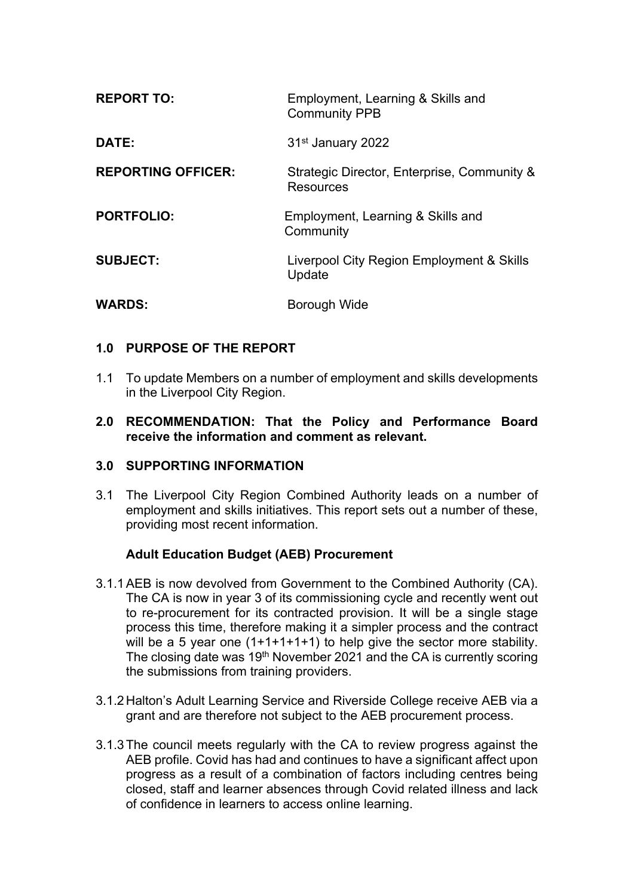| <b>REPORT TO:</b>         | Employment, Learning & Skills and<br><b>Community PPB</b>       |
|---------------------------|-----------------------------------------------------------------|
| DATE:                     | 31 <sup>st</sup> January 2022                                   |
| <b>REPORTING OFFICER:</b> | Strategic Director, Enterprise, Community &<br><b>Resources</b> |
| <b>PORTFOLIO:</b>         | Employment, Learning & Skills and<br>Community                  |
| <b>SUBJECT:</b>           | Liverpool City Region Employment & Skills<br>Update             |
| <b>WARDS:</b>             | Borough Wide                                                    |

## **1.0 PURPOSE OF THE REPORT**

- 1.1 To update Members on a number of employment and skills developments in the Liverpool City Region.
- **2.0 RECOMMENDATION: That the Policy and Performance Board receive the information and comment as relevant.**

#### **3.0 SUPPORTING INFORMATION**

3.1 The Liverpool City Region Combined Authority leads on a number of employment and skills initiatives. This report sets out a number of these, providing most recent information.

#### **Adult Education Budget (AEB) Procurement**

- 3.1.1AEB is now devolved from Government to the Combined Authority (CA). The CA is now in year 3 of its commissioning cycle and recently went out to re-procurement for its contracted provision. It will be a single stage process this time, therefore making it a simpler process and the contract will be a 5 year one (1+1+1+1+1) to help give the sector more stability. The closing date was 19th November 2021 and the CA is currently scoring the submissions from training providers.
- 3.1.2Halton's Adult Learning Service and Riverside College receive AEB via a grant and are therefore not subject to the AEB procurement process.
- 3.1.3The council meets regularly with the CA to review progress against the AEB profile. Covid has had and continues to have a significant affect upon progress as a result of a combination of factors including centres being closed, staff and learner absences through Covid related illness and lack of confidence in learners to access online learning.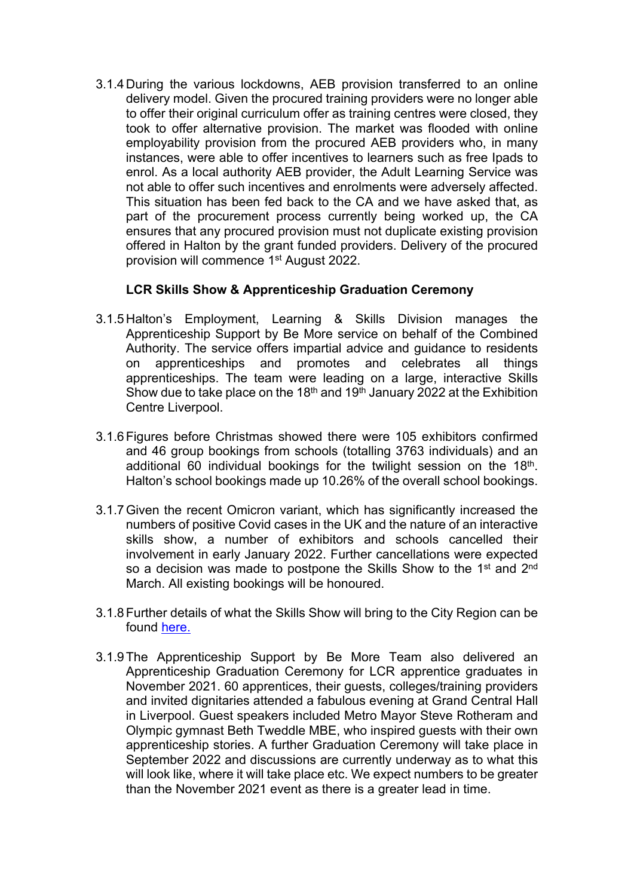3.1.4During the various lockdowns, AEB provision transferred to an online delivery model. Given the procured training providers were no longer able to offer their original curriculum offer as training centres were closed, they took to offer alternative provision. The market was flooded with online employability provision from the procured AEB providers who, in many instances, were able to offer incentives to learners such as free Ipads to enrol. As a local authority AEB provider, the Adult Learning Service was not able to offer such incentives and enrolments were adversely affected. This situation has been fed back to the CA and we have asked that, as part of the procurement process currently being worked up, the CA ensures that any procured provision must not duplicate existing provision offered in Halton by the grant funded providers. Delivery of the procured provision will commence 1<sup>st</sup> August 2022.

## **LCR Skills Show & Apprenticeship Graduation Ceremony**

- 3.1.5Halton's Employment, Learning & Skills Division manages the Apprenticeship Support by Be More service on behalf of the Combined Authority. The service offers impartial advice and guidance to residents on apprenticeships and promotes and celebrates all things apprenticeships. The team were leading on a large, interactive Skills Show due to take place on the 18<sup>th</sup> and 19<sup>th</sup> January 2022 at the Exhibition Centre Liverpool.
- 3.1.6Figures before Christmas showed there were 105 exhibitors confirmed and 46 group bookings from schools (totalling 3763 individuals) and an additional 60 individual bookings for the twilight session on the 18<sup>th</sup>. Halton's school bookings made up 10.26% of the overall school bookings.
- 3.1.7Given the recent Omicron variant, which has significantly increased the numbers of positive Covid cases in the UK and the nature of an interactive skills show, a number of exhibitors and schools cancelled their involvement in early January 2022. Further cancellations were expected so a decision was made to postpone the Skills Show to the 1<sup>st</sup> and 2<sup>nd</sup> March. All existing bookings will be honoured.
- 3.1.8Further details of what the Skills Show will bring to the City Region can be found [here.](https://www.lcrskillshow.com/)
- 3.1.9The Apprenticeship Support by Be More Team also delivered an Apprenticeship Graduation Ceremony for LCR apprentice graduates in November 2021. 60 apprentices, their guests, colleges/training providers and invited dignitaries attended a fabulous evening at Grand Central Hall in Liverpool. Guest speakers included Metro Mayor Steve Rotheram and Olympic gymnast Beth Tweddle MBE, who inspired guests with their own apprenticeship stories. A further Graduation Ceremony will take place in September 2022 and discussions are currently underway as to what this will look like, where it will take place etc. We expect numbers to be greater than the November 2021 event as there is a greater lead in time.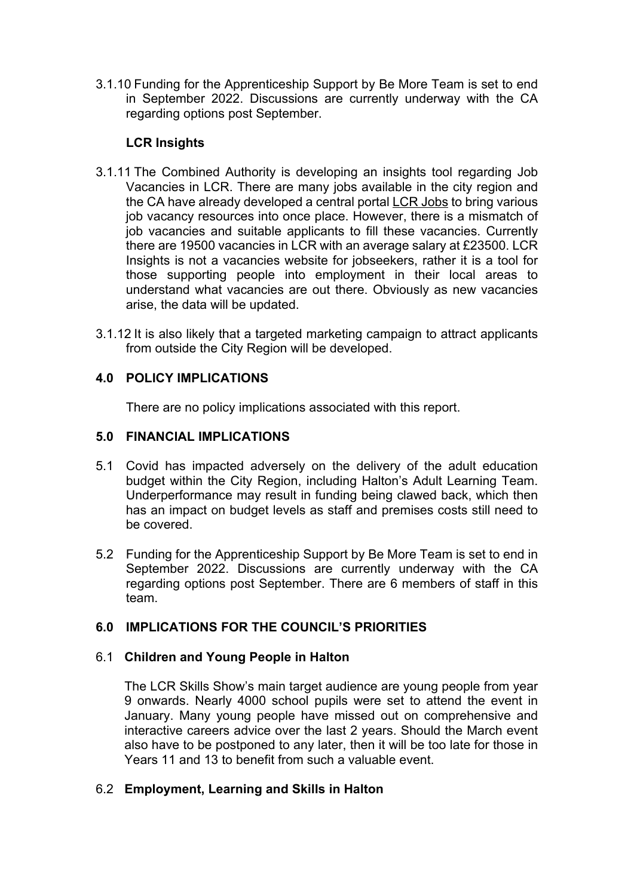3.1.10 Funding for the Apprenticeship Support by Be More Team is set to end in September 2022. Discussions are currently underway with the CA regarding options post September.

# **LCR Insights**

- 3.1.11 The Combined Authority is developing an insights tool regarding Job Vacancies in LCR. There are many jobs available in the city region and the CA have already developed a central portal LCR [Jobs](https://www.liverpoolcityregion-ca.gov.uk/job-hub/) to bring various job vacancy resources into once place. However, there is a mismatch of job vacancies and suitable applicants to fill these vacancies. Currently there are 19500 vacancies in LCR with an average salary at £23500. LCR Insights is not a vacancies website for jobseekers, rather it is a tool for those supporting people into employment in their local areas to understand what vacancies are out there. Obviously as new vacancies arise, the data will be updated.
- 3.1.12 It is also likely that a targeted marketing campaign to attract applicants from outside the City Region will be developed.

## **4.0 POLICY IMPLICATIONS**

There are no policy implications associated with this report.

#### **5.0 FINANCIAL IMPLICATIONS**

- 5.1 Covid has impacted adversely on the delivery of the adult education budget within the City Region, including Halton's Adult Learning Team. Underperformance may result in funding being clawed back, which then has an impact on budget levels as staff and premises costs still need to be covered.
- 5.2 Funding for the Apprenticeship Support by Be More Team is set to end in September 2022. Discussions are currently underway with the CA regarding options post September. There are 6 members of staff in this team.

#### **6.0 IMPLICATIONS FOR THE COUNCIL'S PRIORITIES**

#### 6.1 **Children and Young People in Halton**

The LCR Skills Show's main target audience are young people from year 9 onwards. Nearly 4000 school pupils were set to attend the event in January. Many young people have missed out on comprehensive and interactive careers advice over the last 2 years. Should the March event also have to be postponed to any later, then it will be too late for those in Years 11 and 13 to benefit from such a valuable event.

#### 6.2 **Employment, Learning and Skills in Halton**